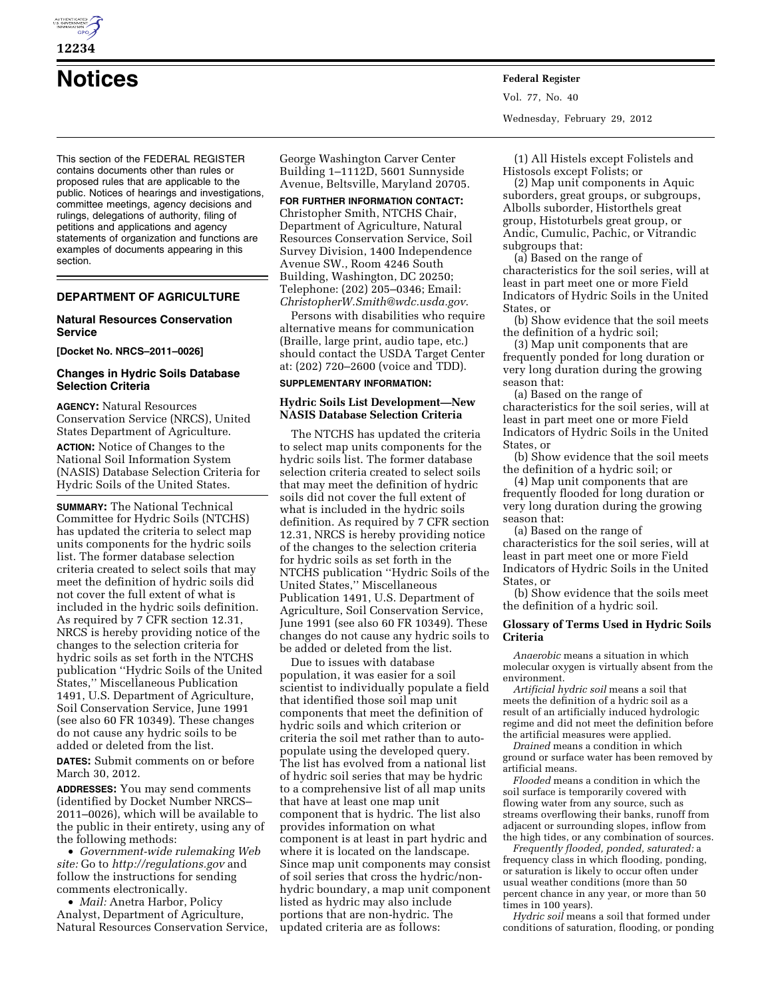

This section of the FEDERAL REGISTER contains documents other than rules or proposed rules that are applicable to the public. Notices of hearings and investigations, committee meetings, agency decisions and rulings, delegations of authority, filing of petitions and applications and agency statements of organization and functions are examples of documents appearing in this section.

## **DEPARTMENT OF AGRICULTURE**

## **Natural Resources Conservation Service**

**[Docket No. NRCS–2011–0026]** 

## **Changes in Hydric Soils Database Selection Criteria**

**AGENCY:** Natural Resources Conservation Service (NRCS), United States Department of Agriculture. **ACTION:** Notice of Changes to the

National Soil Information System (NASIS) Database Selection Criteria for Hydric Soils of the United States.

**SUMMARY:** The National Technical Committee for Hydric Soils (NTCHS) has updated the criteria to select map units components for the hydric soils list. The former database selection criteria created to select soils that may meet the definition of hydric soils did not cover the full extent of what is included in the hydric soils definition. As required by 7 CFR section 12.31, NRCS is hereby providing notice of the changes to the selection criteria for hydric soils as set forth in the NTCHS publication ''Hydric Soils of the United States,'' Miscellaneous Publication 1491, U.S. Department of Agriculture, Soil Conservation Service, June 1991 (see also 60 FR 10349). These changes do not cause any hydric soils to be added or deleted from the list.

**DATES:** Submit comments on or before March 30, 2012.

**ADDRESSES:** You may send comments (identified by Docket Number NRCS– 2011–0026), which will be available to the public in their entirety, using any of the following methods:

• *Government-wide rulemaking Web site:* Go to *<http://regulations.gov>* and follow the instructions for sending comments electronically.

• *Mail:* Anetra Harbor, Policy Analyst, Department of Agriculture, Natural Resources Conservation Service, George Washington Carver Center Building 1–1112D, 5601 Sunnyside Avenue, Beltsville, Maryland 20705.

**FOR FURTHER INFORMATION CONTACT:**  Christopher Smith, NTCHS Chair, Department of Agriculture, Natural Resources Conservation Service, Soil Survey Division, 1400 Independence Avenue SW., Room 4246 South Building, Washington, DC 20250; Telephone: (202) 205–0346; Email: *[ChristopherW.Smith@wdc.usda.gov](mailto:ChristopherW.Smith@wdc.usda.gov)*.

Persons with disabilities who require alternative means for communication (Braille, large print, audio tape, etc.) should contact the USDA Target Center at: (202) 720–2600 (voice and TDD).

## **SUPPLEMENTARY INFORMATION:**

## **Hydric Soils List Development—New NASIS Database Selection Criteria**

The NTCHS has updated the criteria to select map units components for the hydric soils list. The former database selection criteria created to select soils that may meet the definition of hydric soils did not cover the full extent of what is included in the hydric soils definition. As required by 7 CFR section 12.31, NRCS is hereby providing notice of the changes to the selection criteria for hydric soils as set forth in the NTCHS publication ''Hydric Soils of the United States,'' Miscellaneous Publication 1491, U.S. Department of Agriculture, Soil Conservation Service, June 1991 (see also 60 FR 10349). These changes do not cause any hydric soils to be added or deleted from the list.

Due to issues with database population, it was easier for a soil scientist to individually populate a field that identified those soil map unit components that meet the definition of hydric soils and which criterion or criteria the soil met rather than to autopopulate using the developed query. The list has evolved from a national list of hydric soil series that may be hydric to a comprehensive list of all map units that have at least one map unit component that is hydric. The list also provides information on what component is at least in part hydric and where it is located on the landscape. Since map unit components may consist of soil series that cross the hydric/nonhydric boundary, a map unit component listed as hydric may also include portions that are non-hydric. The updated criteria are as follows:

**Notices Federal Register** Vol. 77, No. 40 Wednesday, February 29, 2012

> (1) All Histels except Folistels and Histosols except Folists; or

(2) Map unit components in Aquic suborders, great groups, or subgroups, Albolls suborder, Historthels great group, Histoturbels great group, or Andic, Cumulic, Pachic, or Vitrandic subgroups that:

(a) Based on the range of characteristics for the soil series, will at least in part meet one or more Field Indicators of Hydric Soils in the United States, or

(b) Show evidence that the soil meets the definition of a hydric soil;

(3) Map unit components that are frequently ponded for long duration or very long duration during the growing season that:

(a) Based on the range of characteristics for the soil series, will at least in part meet one or more Field Indicators of Hydric Soils in the United States, or

(b) Show evidence that the soil meets the definition of a hydric soil; or

(4) Map unit components that are frequently flooded for long duration or very long duration during the growing season that:

(a) Based on the range of characteristics for the soil series, will at least in part meet one or more Field Indicators of Hydric Soils in the United States, or

(b) Show evidence that the soils meet the definition of a hydric soil.

## **Glossary of Terms Used in Hydric Soils Criteria**

*Anaerobic* means a situation in which molecular oxygen is virtually absent from the environment.

*Artificial hydric soil* means a soil that meets the definition of a hydric soil as a result of an artificially induced hydrologic regime and did not meet the definition before the artificial measures were applied.

*Drained* means a condition in which ground or surface water has been removed by artificial means.

*Flooded* means a condition in which the soil surface is temporarily covered with flowing water from any source, such as streams overflowing their banks, runoff from adjacent or surrounding slopes, inflow from the high tides, or any combination of sources.

*Frequently flooded, ponded, saturated:* a frequency class in which flooding, ponding, or saturation is likely to occur often under usual weather conditions (more than 50 percent chance in any year, or more than 50 times in 100 years).

*Hydric soil* means a soil that formed under conditions of saturation, flooding, or ponding